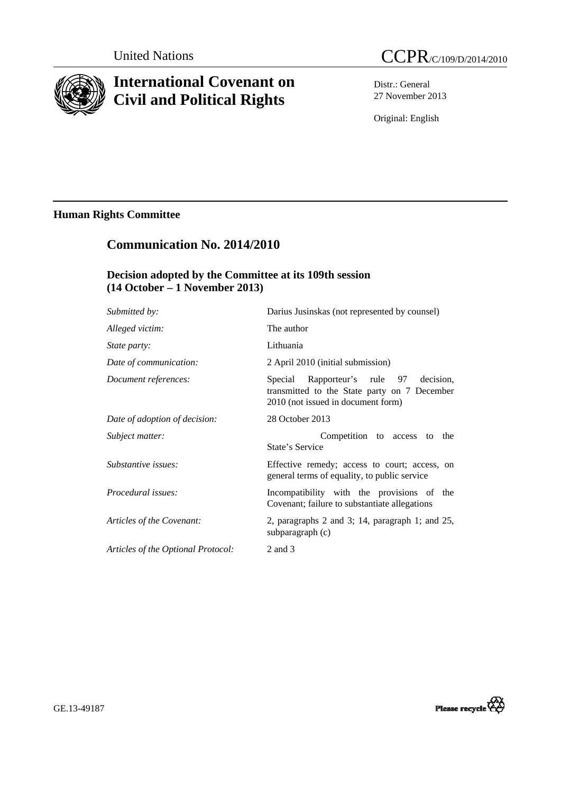

# **International Covenant on Civil and Political Rights**

United Nations CCPR/C/109/D/2014/2010

Distr.: General 27 November 2013

Original: English

# **Human Rights Committee**

# **Communication No. 2014/2010**

## **Decision adopted by the Committee at its 109th session (14 October – 1 November 2013)**

| Submitted by:                      | Darius Jusinskas (not represented by counsel)                                                                                   |
|------------------------------------|---------------------------------------------------------------------------------------------------------------------------------|
| Alleged victim:                    | The author                                                                                                                      |
| <i>State party:</i>                | Lithuania                                                                                                                       |
| Date of communication:             | 2 April 2010 (initial submission)                                                                                               |
| Document references:               | decision.<br>Special Rapporteur's rule 97<br>transmitted to the State party on 7 December<br>2010 (not issued in document form) |
| Date of adoption of decision:      | 28 October 2013                                                                                                                 |
| Subject matter:                    | Competition to access to the<br>State's Service                                                                                 |
| Substantive issues:                | Effective remedy; access to court; access, on<br>general terms of equality, to public service                                   |
| Procedural issues:                 | Incompatibility with the provisions of the<br>Covenant; failure to substantiate allegations                                     |
| Articles of the Covenant:          | 2, paragraphs $2$ and $3$ ; 14, paragraph 1; and $25$ ,<br>subparagraph (c)                                                     |
| Articles of the Optional Protocol: | 2 and 3                                                                                                                         |
|                                    |                                                                                                                                 |

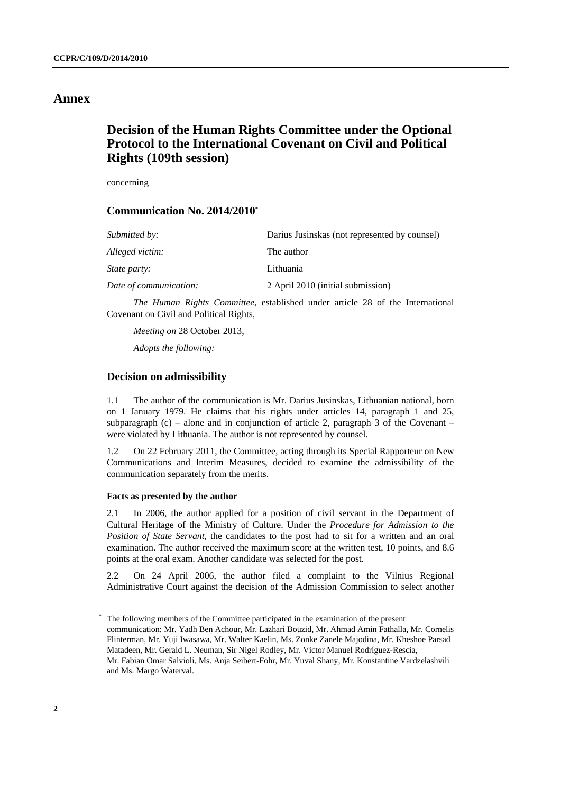### **Annex**

## **Decision of the Human Rights Committee under the Optional Protocol to the International Covenant on Civil and Political Rights (109th session)**

concerning

### **Communication No. 2014/2010\***

| Darius Jusinskas (not represented by counsel) |
|-----------------------------------------------|
| The author                                    |
| Lithuania                                     |
| 2 April 2010 (initial submission)             |
|                                               |

*The Human Rights Committee*, established under article 28 of the International Covenant on Civil and Political Rights,

*Meeting on* 28 October 2013, *Adopts the following:* 

### **Decision on admissibility**

1.1 The author of the communication is Mr. Darius Jusinskas, Lithuanian national, born on 1 January 1979. He claims that his rights under articles 14, paragraph 1 and 25, subparagraph  $(c)$  – alone and in conjunction of article 2, paragraph 3 of the Covenant – were violated by Lithuania. The author is not represented by counsel.

1.2 On 22 February 2011, the Committee, acting through its Special Rapporteur on New Communications and Interim Measures, decided to examine the admissibility of the communication separately from the merits.

#### **Facts as presented by the author**

2.1 In 2006, the author applied for a position of civil servant in the Department of Cultural Heritage of the Ministry of Culture. Under the *Procedure for Admission to the Position of State Servant*, the candidates to the post had to sit for a written and an oral examination. The author received the maximum score at the written test, 10 points, and 8.6 points at the oral exam. Another candidate was selected for the post.

2.2 On 24 April 2006, the author filed a complaint to the Vilnius Regional Administrative Court against the decision of the Admission Commission to select another

 <sup>\*</sup> The following members of the Committee participated in the examination of the present communication: Mr. Yadh Ben Achour, Mr. Lazhari Bouzid, Mr. Ahmad Amin Fathalla, Mr. Cornelis Flinterman, Mr. Yuji Iwasawa, Mr. Walter Kaelin, Ms. Zonke Zanele Majodina, Mr. Kheshoe Parsad Matadeen, Mr. Gerald L. Neuman, Sir Nigel Rodley, Mr. Victor Manuel Rodríguez-Rescia, Mr. Fabian Omar Salvioli, Ms. Anja Seibert-Fohr, Mr. Yuval Shany, Mr. Konstantine Vardzelashvili and Ms. Margo Waterval.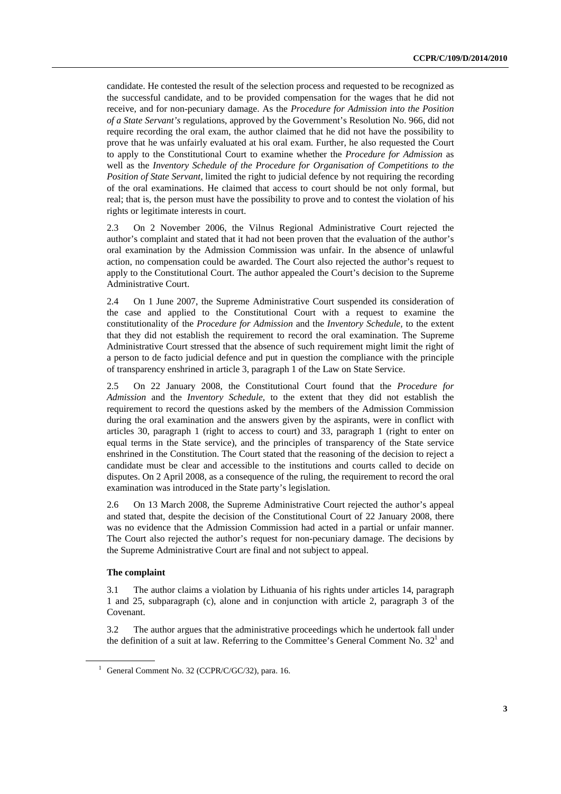candidate. He contested the result of the selection process and requested to be recognized as the successful candidate, and to be provided compensation for the wages that he did not receive, and for non-pecuniary damage. As the *Procedure for Admission into the Position of a State Servant's* regulations, approved by the Government's Resolution No. 966, did not require recording the oral exam, the author claimed that he did not have the possibility to prove that he was unfairly evaluated at his oral exam. Further, he also requested the Court to apply to the Constitutional Court to examine whether the *Procedure for Admission* as well as the *Inventory Schedule of the Procedure for Organisation of Competitions to the Position of State Servant,* limited the right to judicial defence by not requiring the recording of the oral examinations. He claimed that access to court should be not only formal, but real; that is, the person must have the possibility to prove and to contest the violation of his rights or legitimate interests in court.

2.3 On 2 November 2006, the Vilnus Regional Administrative Court rejected the author's complaint and stated that it had not been proven that the evaluation of the author's oral examination by the Admission Commission was unfair. In the absence of unlawful action, no compensation could be awarded. The Court also rejected the author's request to apply to the Constitutional Court. The author appealed the Court's decision to the Supreme Administrative Court.

2.4 On 1 June 2007, the Supreme Administrative Court suspended its consideration of the case and applied to the Constitutional Court with a request to examine the constitutionality of the *Procedure for Admission* and the *Inventory Schedule,* to the extent that they did not establish the requirement to record the oral examination. The Supreme Administrative Court stressed that the absence of such requirement might limit the right of a person to de facto judicial defence and put in question the compliance with the principle of transparency enshrined in article 3, paragraph 1 of the Law on State Service.

2.5 On 22 January 2008, the Constitutional Court found that the *Procedure for Admission* and the *Inventory Schedule,* to the extent that they did not establish the requirement to record the questions asked by the members of the Admission Commission during the oral examination and the answers given by the aspirants, were in conflict with articles 30, paragraph 1 (right to access to court) and 33, paragraph 1 (right to enter on equal terms in the State service), and the principles of transparency of the State service enshrined in the Constitution. The Court stated that the reasoning of the decision to reject a candidate must be clear and accessible to the institutions and courts called to decide on disputes. On 2 April 2008, as a consequence of the ruling, the requirement to record the oral examination was introduced in the State party's legislation.

2.6 On 13 March 2008, the Supreme Administrative Court rejected the author's appeal and stated that, despite the decision of the Constitutional Court of 22 January 2008, there was no evidence that the Admission Commission had acted in a partial or unfair manner. The Court also rejected the author's request for non-pecuniary damage. The decisions by the Supreme Administrative Court are final and not subject to appeal.

#### **The complaint**

3.1 The author claims a violation by Lithuania of his rights under articles 14, paragraph 1 and 25, subparagraph (c), alone and in conjunction with article 2, paragraph 3 of the Covenant.

3.2 The author argues that the administrative proceedings which he undertook fall under the definition of a suit at law. Referring to the Committee's General Comment No.  $32<sup>1</sup>$  and

<sup>&</sup>lt;sup>1</sup> General Comment No. 32 (CCPR/C/GC/32), para. 16.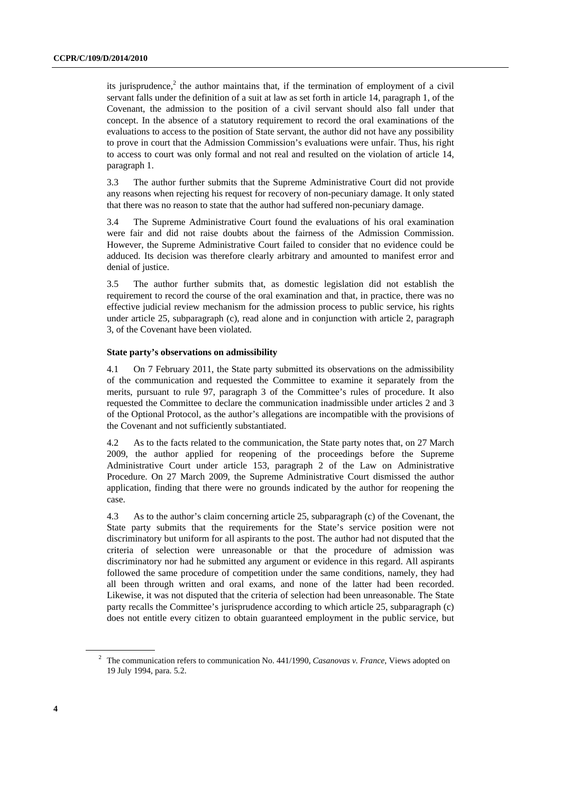its jurisprudence, $2$  the author maintains that, if the termination of employment of a civil servant falls under the definition of a suit at law as set forth in article 14, paragraph 1, of the Covenant, the admission to the position of a civil servant should also fall under that concept. In the absence of a statutory requirement to record the oral examinations of the evaluations to access to the position of State servant, the author did not have any possibility to prove in court that the Admission Commission's evaluations were unfair. Thus, his right to access to court was only formal and not real and resulted on the violation of article 14, paragraph 1.

3.3 The author further submits that the Supreme Administrative Court did not provide any reasons when rejecting his request for recovery of non-pecuniary damage. It only stated that there was no reason to state that the author had suffered non-pecuniary damage.

3.4 The Supreme Administrative Court found the evaluations of his oral examination were fair and did not raise doubts about the fairness of the Admission Commission. However, the Supreme Administrative Court failed to consider that no evidence could be adduced. Its decision was therefore clearly arbitrary and amounted to manifest error and denial of justice.

3.5 The author further submits that, as domestic legislation did not establish the requirement to record the course of the oral examination and that, in practice, there was no effective judicial review mechanism for the admission process to public service, his rights under article 25, subparagraph (c), read alone and in conjunction with article 2, paragraph 3, of the Covenant have been violated.

#### **State party's observations on admissibility**

4.1 On 7 February 2011, the State party submitted its observations on the admissibility of the communication and requested the Committee to examine it separately from the merits, pursuant to rule 97, paragraph 3 of the Committee's rules of procedure. It also requested the Committee to declare the communication inadmissible under articles 2 and 3 of the Optional Protocol, as the author's allegations are incompatible with the provisions of the Covenant and not sufficiently substantiated.

4.2 As to the facts related to the communication, the State party notes that, on 27 March 2009, the author applied for reopening of the proceedings before the Supreme Administrative Court under article 153, paragraph 2 of the Law on Administrative Procedure. On 27 March 2009, the Supreme Administrative Court dismissed the author application, finding that there were no grounds indicated by the author for reopening the case.

4.3 As to the author's claim concerning article 25, subparagraph (c) of the Covenant, the State party submits that the requirements for the State's service position were not discriminatory but uniform for all aspirants to the post. The author had not disputed that the criteria of selection were unreasonable or that the procedure of admission was discriminatory nor had he submitted any argument or evidence in this regard. All aspirants followed the same procedure of competition under the same conditions, namely, they had all been through written and oral exams, and none of the latter had been recorded. Likewise, it was not disputed that the criteria of selection had been unreasonable. The State party recalls the Committee's jurisprudence according to which article 25, subparagraph (c) does not entitle every citizen to obtain guaranteed employment in the public service, but

<sup>2</sup> The communication refers to communication No. 441/1990, *Casanovas v. France*, Views adopted on 19 July 1994, para. 5.2.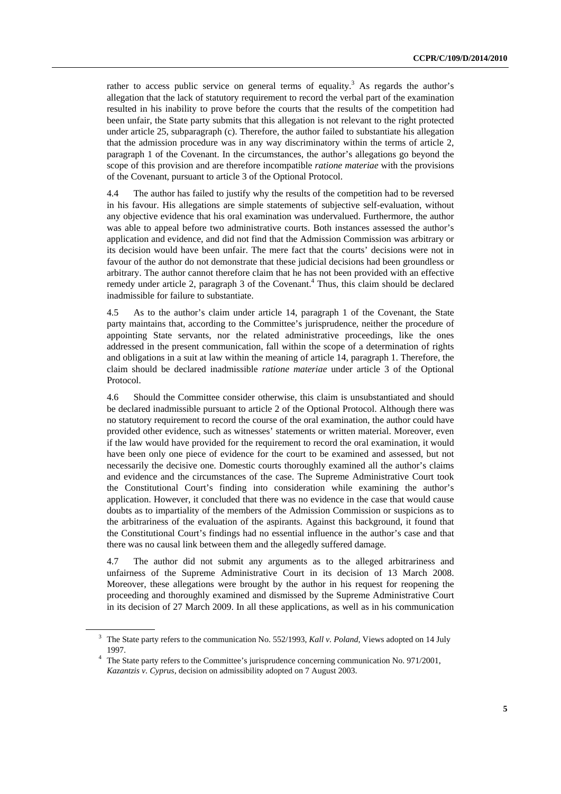rather to access public service on general terms of equality.<sup>3</sup> As regards the author's allegation that the lack of statutory requirement to record the verbal part of the examination resulted in his inability to prove before the courts that the results of the competition had been unfair, the State party submits that this allegation is not relevant to the right protected under article 25, subparagraph (c). Therefore, the author failed to substantiate his allegation that the admission procedure was in any way discriminatory within the terms of article 2, paragraph 1 of the Covenant. In the circumstances, the author's allegations go beyond the scope of this provision and are therefore incompatible *ratione materiae* with the provisions of the Covenant, pursuant to article 3 of the Optional Protocol.

4.4 The author has failed to justify why the results of the competition had to be reversed in his favour. His allegations are simple statements of subjective self-evaluation, without any objective evidence that his oral examination was undervalued. Furthermore, the author was able to appeal before two administrative courts. Both instances assessed the author's application and evidence, and did not find that the Admission Commission was arbitrary or its decision would have been unfair. The mere fact that the courts' decisions were not in favour of the author do not demonstrate that these judicial decisions had been groundless or arbitrary. The author cannot therefore claim that he has not been provided with an effective remedy under article 2, paragraph 3 of the Covenant.<sup>4</sup> Thus, this claim should be declared inadmissible for failure to substantiate.

4.5 As to the author's claim under article 14, paragraph 1 of the Covenant, the State party maintains that, according to the Committee's jurisprudence, neither the procedure of appointing State servants, nor the related administrative proceedings, like the ones addressed in the present communication, fall within the scope of a determination of rights and obligations in a suit at law within the meaning of article 14, paragraph 1. Therefore, the claim should be declared inadmissible *ratione materiae* under article 3 of the Optional Protocol.

4.6 Should the Committee consider otherwise, this claim is unsubstantiated and should be declared inadmissible pursuant to article 2 of the Optional Protocol. Although there was no statutory requirement to record the course of the oral examination, the author could have provided other evidence, such as witnesses' statements or written material. Moreover, even if the law would have provided for the requirement to record the oral examination, it would have been only one piece of evidence for the court to be examined and assessed, but not necessarily the decisive one. Domestic courts thoroughly examined all the author's claims and evidence and the circumstances of the case. The Supreme Administrative Court took the Constitutional Court's finding into consideration while examining the author's application. However, it concluded that there was no evidence in the case that would cause doubts as to impartiality of the members of the Admission Commission or suspicions as to the arbitrariness of the evaluation of the aspirants. Against this background, it found that the Constitutional Court's findings had no essential influence in the author's case and that there was no causal link between them and the allegedly suffered damage.

4.7 The author did not submit any arguments as to the alleged arbitrariness and unfairness of the Supreme Administrative Court in its decision of 13 March 2008. Moreover, these allegations were brought by the author in his request for reopening the proceeding and thoroughly examined and dismissed by the Supreme Administrative Court in its decision of 27 March 2009. In all these applications, as well as in his communication

<sup>3</sup> The State party refers to the communication No. 552/1993, *Kall v. Poland*, Views adopted on 14 July 1997. 4 The State party refers to the Committee's jurisprudence concerning communication No. 971/2001,

*Kazantzis v. Cyprus*, decision on admissibility adopted on 7 August 2003.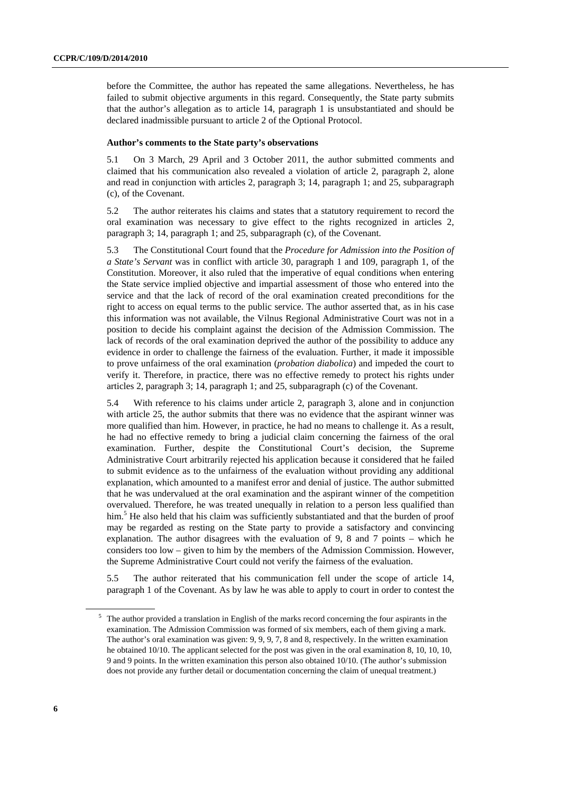before the Committee, the author has repeated the same allegations. Nevertheless, he has failed to submit objective arguments in this regard. Consequently, the State party submits that the author's allegation as to article 14, paragraph 1 is unsubstantiated and should be declared inadmissible pursuant to article 2 of the Optional Protocol.

#### **Author's comments to the State party's observations**

5.1 On 3 March, 29 April and 3 October 2011, the author submitted comments and claimed that his communication also revealed a violation of article 2, paragraph 2, alone and read in conjunction with articles 2, paragraph 3; 14, paragraph 1; and 25, subparagraph (c), of the Covenant.

5.2 The author reiterates his claims and states that a statutory requirement to record the oral examination was necessary to give effect to the rights recognized in articles 2, paragraph 3; 14, paragraph 1; and 25, subparagraph (c), of the Covenant.

5.3 The Constitutional Court found that the *Procedure for Admission into the Position of a State's Servant* was in conflict with article 30, paragraph 1 and 109, paragraph 1, of the Constitution. Moreover, it also ruled that the imperative of equal conditions when entering the State service implied objective and impartial assessment of those who entered into the service and that the lack of record of the oral examination created preconditions for the right to access on equal terms to the public service. The author asserted that, as in his case this information was not available, the Vilnus Regional Administrative Court was not in a position to decide his complaint against the decision of the Admission Commission. The lack of records of the oral examination deprived the author of the possibility to adduce any evidence in order to challenge the fairness of the evaluation. Further, it made it impossible to prove unfairness of the oral examination (*probation diabolica*) and impeded the court to verify it. Therefore, in practice, there was no effective remedy to protect his rights under articles 2, paragraph 3; 14, paragraph 1; and 25, subparagraph (c) of the Covenant.

5.4 With reference to his claims under article 2, paragraph 3, alone and in conjunction with article 25, the author submits that there was no evidence that the aspirant winner was more qualified than him. However, in practice, he had no means to challenge it. As a result, he had no effective remedy to bring a judicial claim concerning the fairness of the oral examination. Further, despite the Constitutional Court's decision, the Supreme Administrative Court arbitrarily rejected his application because it considered that he failed to submit evidence as to the unfairness of the evaluation without providing any additional explanation, which amounted to a manifest error and denial of justice. The author submitted that he was undervalued at the oral examination and the aspirant winner of the competition overvalued. Therefore, he was treated unequally in relation to a person less qualified than him.<sup>5</sup> He also held that his claim was sufficiently substantiated and that the burden of proof may be regarded as resting on the State party to provide a satisfactory and convincing explanation. The author disagrees with the evaluation of 9, 8 and 7 points – which he considers too low – given to him by the members of the Admission Commission. However, the Supreme Administrative Court could not verify the fairness of the evaluation.

5.5 The author reiterated that his communication fell under the scope of article 14, paragraph 1 of the Covenant. As by law he was able to apply to court in order to contest the

<sup>&</sup>lt;sup>5</sup> The author provided a translation in English of the marks record concerning the four aspirants in the examination. The Admission Commission was formed of six members, each of them giving a mark. The author's oral examination was given: 9, 9, 9, 7, 8 and 8, respectively. In the written examination he obtained 10/10. The applicant selected for the post was given in the oral examination 8, 10, 10, 10, 9 and 9 points. In the written examination this person also obtained 10/10. (The author's submission does not provide any further detail or documentation concerning the claim of unequal treatment.)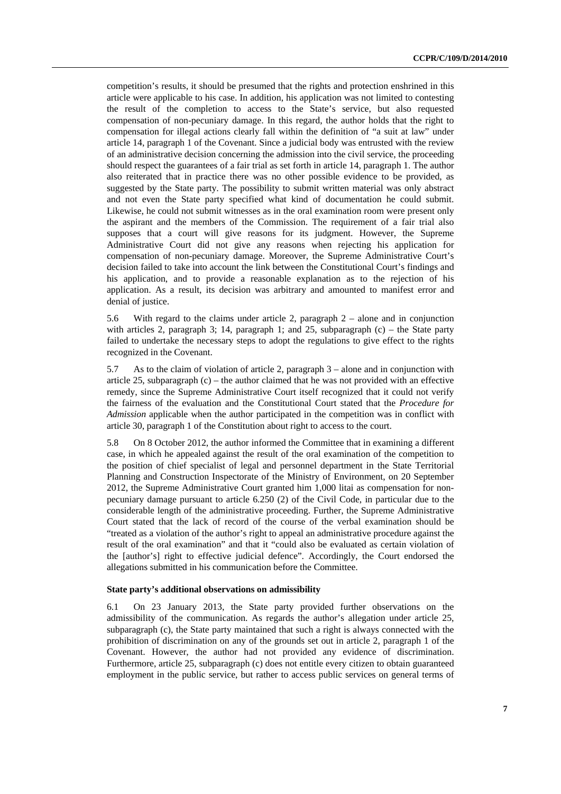competition's results, it should be presumed that the rights and protection enshrined in this article were applicable to his case. In addition, his application was not limited to contesting the result of the completion to access to the State's service, but also requested compensation of non-pecuniary damage. In this regard, the author holds that the right to compensation for illegal actions clearly fall within the definition of "a suit at law" under article 14, paragraph 1 of the Covenant. Since a judicial body was entrusted with the review of an administrative decision concerning the admission into the civil service, the proceeding should respect the guarantees of a fair trial as set forth in article 14, paragraph 1. The author also reiterated that in practice there was no other possible evidence to be provided, as suggested by the State party. The possibility to submit written material was only abstract and not even the State party specified what kind of documentation he could submit. Likewise, he could not submit witnesses as in the oral examination room were present only the aspirant and the members of the Commission. The requirement of a fair trial also supposes that a court will give reasons for its judgment. However, the Supreme Administrative Court did not give any reasons when rejecting his application for compensation of non-pecuniary damage. Moreover, the Supreme Administrative Court's decision failed to take into account the link between the Constitutional Court's findings and his application, and to provide a reasonable explanation as to the rejection of his application. As a result, its decision was arbitrary and amounted to manifest error and denial of justice.

5.6 With regard to the claims under article 2, paragraph 2 – alone and in conjunction with articles 2, paragraph 3; 14, paragraph 1; and 25, subparagraph  $(c)$  – the State party failed to undertake the necessary steps to adopt the regulations to give effect to the rights recognized in the Covenant.

5.7 As to the claim of violation of article 2, paragraph 3 – alone and in conjunction with article 25, subparagraph  $(c)$  – the author claimed that he was not provided with an effective remedy, since the Supreme Administrative Court itself recognized that it could not verify the fairness of the evaluation and the Constitutional Court stated that the *Procedure for Admission* applicable when the author participated in the competition was in conflict with article 30, paragraph 1 of the Constitution about right to access to the court.

5.8 On 8 October 2012, the author informed the Committee that in examining a different case, in which he appealed against the result of the oral examination of the competition to the position of chief specialist of legal and personnel department in the State Territorial Planning and Construction Inspectorate of the Ministry of Environment, on 20 September 2012, the Supreme Administrative Court granted him 1,000 litai as compensation for nonpecuniary damage pursuant to article 6.250 (2) of the Civil Code, in particular due to the considerable length of the administrative proceeding. Further, the Supreme Administrative Court stated that the lack of record of the course of the verbal examination should be "treated as a violation of the author's right to appeal an administrative procedure against the result of the oral examination" and that it "could also be evaluated as certain violation of the [author's] right to effective judicial defence". Accordingly, the Court endorsed the allegations submitted in his communication before the Committee.

#### **State party's additional observations on admissibility**

6.1 On 23 January 2013, the State party provided further observations on the admissibility of the communication. As regards the author's allegation under article 25, subparagraph (c), the State party maintained that such a right is always connected with the prohibition of discrimination on any of the grounds set out in article 2, paragraph 1 of the Covenant. However, the author had not provided any evidence of discrimination. Furthermore, article 25, subparagraph (c) does not entitle every citizen to obtain guaranteed employment in the public service, but rather to access public services on general terms of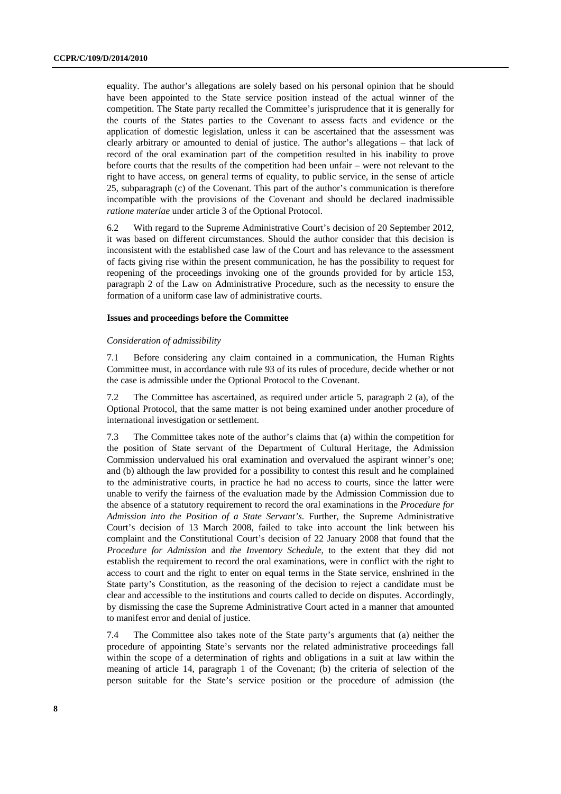equality. The author's allegations are solely based on his personal opinion that he should have been appointed to the State service position instead of the actual winner of the competition. The State party recalled the Committee's jurisprudence that it is generally for the courts of the States parties to the Covenant to assess facts and evidence or the application of domestic legislation, unless it can be ascertained that the assessment was clearly arbitrary or amounted to denial of justice. The author's allegations – that lack of record of the oral examination part of the competition resulted in his inability to prove before courts that the results of the competition had been unfair – were not relevant to the right to have access, on general terms of equality, to public service, in the sense of article 25, subparagraph (c) of the Covenant. This part of the author's communication is therefore incompatible with the provisions of the Covenant and should be declared inadmissible *ratione materiae* under article 3 of the Optional Protocol.

6.2 With regard to the Supreme Administrative Court's decision of 20 September 2012, it was based on different circumstances. Should the author consider that this decision is inconsistent with the established case law of the Court and has relevance to the assessment of facts giving rise within the present communication, he has the possibility to request for reopening of the proceedings invoking one of the grounds provided for by article 153, paragraph 2 of the Law on Administrative Procedure, such as the necessity to ensure the formation of a uniform case law of administrative courts.

#### **Issues and proceedings before the Committee**

#### *Consideration of admissibility*

7.1 Before considering any claim contained in a communication, the Human Rights Committee must, in accordance with rule 93 of its rules of procedure, decide whether or not the case is admissible under the Optional Protocol to the Covenant.

7.2 The Committee has ascertained, as required under article 5, paragraph 2 (a), of the Optional Protocol, that the same matter is not being examined under another procedure of international investigation or settlement.

7.3 The Committee takes note of the author's claims that (a) within the competition for the position of State servant of the Department of Cultural Heritage, the Admission Commission undervalued his oral examination and overvalued the aspirant winner's one; and (b) although the law provided for a possibility to contest this result and he complained to the administrative courts, in practice he had no access to courts, since the latter were unable to verify the fairness of the evaluation made by the Admission Commission due to the absence of a statutory requirement to record the oral examinations in the *Procedure for Admission into the Position of a State Servant's*. Further, the Supreme Administrative Court's decision of 13 March 2008, failed to take into account the link between his complaint and the Constitutional Court's decision of 22 January 2008 that found that the *Procedure for Admission* and *the Inventory Schedule*, to the extent that they did not establish the requirement to record the oral examinations, were in conflict with the right to access to court and the right to enter on equal terms in the State service, enshrined in the State party's Constitution, as the reasoning of the decision to reject a candidate must be clear and accessible to the institutions and courts called to decide on disputes. Accordingly, by dismissing the case the Supreme Administrative Court acted in a manner that amounted to manifest error and denial of justice.

7.4 The Committee also takes note of the State party's arguments that (a) neither the procedure of appointing State's servants nor the related administrative proceedings fall within the scope of a determination of rights and obligations in a suit at law within the meaning of article 14, paragraph 1 of the Covenant; (b) the criteria of selection of the person suitable for the State's service position or the procedure of admission (the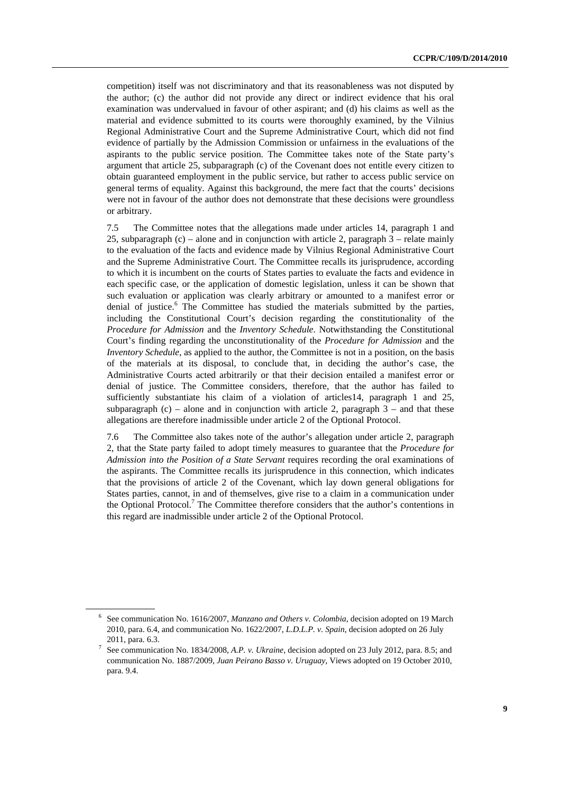competition) itself was not discriminatory and that its reasonableness was not disputed by the author; (c) the author did not provide any direct or indirect evidence that his oral examination was undervalued in favour of other aspirant; and (d) his claims as well as the material and evidence submitted to its courts were thoroughly examined, by the Vilnius Regional Administrative Court and the Supreme Administrative Court, which did not find evidence of partially by the Admission Commission or unfairness in the evaluations of the aspirants to the public service position. The Committee takes note of the State party's argument that article 25, subparagraph (c) of the Covenant does not entitle every citizen to obtain guaranteed employment in the public service, but rather to access public service on general terms of equality. Against this background, the mere fact that the courts' decisions were not in favour of the author does not demonstrate that these decisions were groundless or arbitrary.

7.5 The Committee notes that the allegations made under articles 14, paragraph 1 and 25, subparagraph (c) – alone and in conjunction with article 2, paragraph 3 – relate mainly to the evaluation of the facts and evidence made by Vilnius Regional Administrative Court and the Supreme Administrative Court. The Committee recalls its jurisprudence, according to which it is incumbent on the courts of States parties to evaluate the facts and evidence in each specific case, or the application of domestic legislation, unless it can be shown that such evaluation or application was clearly arbitrary or amounted to a manifest error or denial of justice.<sup>6</sup> The Committee has studied the materials submitted by the parties, including the Constitutional Court's decision regarding the constitutionality of the *Procedure for Admission* and the *Inventory Schedule*. Notwithstanding the Constitutional Court's finding regarding the unconstitutionality of the *Procedure for Admission* and the *Inventory Schedule*, as applied to the author, the Committee is not in a position, on the basis of the materials at its disposal, to conclude that, in deciding the author's case, the Administrative Courts acted arbitrarily or that their decision entailed a manifest error or denial of justice. The Committee considers, therefore, that the author has failed to sufficiently substantiate his claim of a violation of articles14, paragraph 1 and 25, subparagraph  $(c)$  – alone and in conjunction with article 2, paragraph  $3$  – and that these allegations are therefore inadmissible under article 2 of the Optional Protocol.

7.6 The Committee also takes note of the author's allegation under article 2, paragraph 2, that the State party failed to adopt timely measures to guarantee that the *Procedure for Admission into the Position of a State Servant* requires recording the oral examinations of the aspirants. The Committee recalls its jurisprudence in this connection, which indicates that the provisions of article 2 of the Covenant, which lay down general obligations for States parties, cannot, in and of themselves, give rise to a claim in a communication under the Optional Protocol.<sup>7</sup> The Committee therefore considers that the author's contentions in this regard are inadmissible under article 2 of the Optional Protocol.

<sup>6</sup> See communication No. 1616/2007, *Manzano and Others v. Colombia*, decision adopted on 19 March 2010, para. 6.4, and communication No. 1622/2007, *L.D.L.P. v. Spain*, decision adopted on 26 July 2011, para. 6.3. 7

See communication No. 1834/2008, *A.P. v. Ukraine*, decision adopted on 23 July 2012, para. 8.5; and communication No. 1887/2009, *Juan Peirano Basso v. Uruguay*, Views adopted on 19 October 2010, para. 9.4.